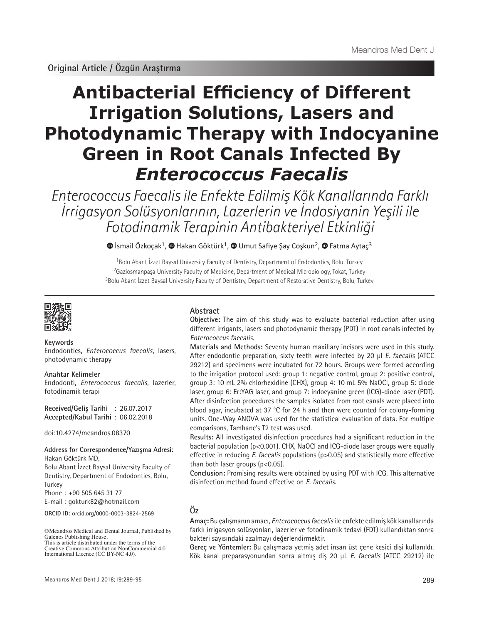# **Antibacterial Efficiency of Different Irrigation Solutions, Lasers and Photodynamic Therapy with Indocyanine Green in Root Canals Infected By**  *Enterococcus Faecalis*

Enterococcus Faecalis ile Enfekte Edilmiş Kök Kanallarında Farklı İrrigasyon Solüsyonlarının, Lazerlerin ve İndosiyanin Yeşili ile Fotodinamik Terapinin Antibakteriyel Etkinliği

 $\bullet$ İsmail Özkoçak<sup>1</sup>,  $\bullet$  Hakan Göktürk<sup>1</sup>,  $\bullet$  Umut Safiye Şay Coşkun<sup>2</sup>,  $\bullet$  Fatma Aytaç<sup>3</sup>

<sup>1</sup>Bolu Abant İzzet Baysal University Faculty of Dentistry, Department of Endodontics, Bolu, Turkey <sup>2</sup>Gaziosmanpaşa University Faculty of Medicine, Department of Medical Microbiology, Tokat, Turkey <sup>3</sup>Bolu Abant İzzet Baysal University Faculty of Dentistry, Department of Restorative Dentistry, Bolu, Turkey



**Keywords** Endodontics, *Enterococcus faecalis*, lasers, photodynamic therapy

**Anahtar Kelimeler** Endodonti, *Enterococcus faecalis*, lazerler, fotodinamik terapi

**Received/Geliş Tarihi** : 26.07.2017 **Accepted/Kabul Tarihi** : 06.02.2018

doi:10.4274/meandros.08370

## **Address for Correspondence/Yazışma Adresi:**

Hakan Göktürk MD, Bolu Abant İzzet Baysal University Faculty of Dentistry, Department of Endodontics, Bolu, Turkey

Phone : +90 505 645 31 77

E-mail : gokturk82@hotmail.com

**ORCID ID:** orcid.org/0000-0003-3824-2569

©Meandros Medical and Dental Journal, Published by Galenos Publishing House. This is article distributed under the terms of the

#### **Abstract**

**Objective:** The aim of this study was to evaluate bacterial reduction after using different irrigants, lasers and photodynamic therapy (PDT) in root canals infected by Enterococcus faecalis.

**Materials and Methods:** Seventy human maxillary incisors were used in this study. After endodontic preparation, sixty teeth were infected by 20 µl E. faecalis (ATCC 29212) and specimens were incubated for 72 hours. Groups were formed according to the irrigation protocol used: group 1: negative control, group 2: positive control, group 3: 10 mL 2% chlorhexidine (CHX), group 4: 10 mL 5% NaOCl, group 5: diode laser, group 6: Er:YAG laser, and group 7: indocyanine green (ICG)-diode laser (PDT). After disinfection procedures the samples isolated from root canals were placed into blood agar, incubated at 37 °C for 24 h and then were counted for colony-forming units. One-Way ANOVA was used for the statistical evaluation of data. For multiple comparisons, Tamhane's T2 test was used.

**Results:** All investigated disinfection procedures had a significant reduction in the bacterial population (p<0.001). CHX, NaOCl and ICG-diode laser groups were equally effective in reducing *E. faecalis* populations (p>0.05) and statistically more effective than both laser groups ( $p < 0.05$ ).

**Conclusion:** Promising results were obtained by using PDT with ICG. This alternative disinfection method found effective on E. faecalis.

### **Öz**

**Amaç:** Bu çalışmanın amacı, Enterococcus faecalis ile enfekte edilmiş kök kanallarında farklı irrigasyon solüsyonları, lazerler ve fotodinamik tedavi (FDT) kullandıktan sonra bakteri sayısındaki azalmayı değerlendirmektir.

**Gereç ve Yöntemler:** Bu çalışmada yetmiş adet insan üst çene kesici dişi kullanıldı. Kök kanal preparasyonundan sonra altmış diş 20 μL E. faecalis (ATCC 29212) ile

Creative Commons Attribution NonCommercial 4.0 International Licence (CC BY-NC 4.0).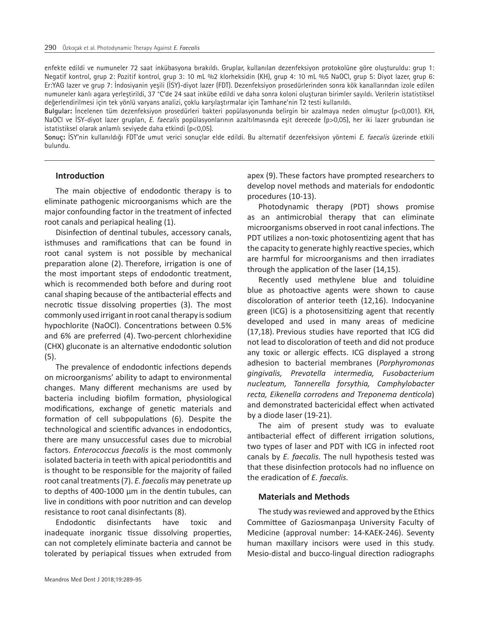enfekte edildi ve numuneler 72 saat inkübasyona bırakıldı. Gruplar, kullanılan dezenfeksiyon protokolüne göre oluşturuldu: grup 1: Negatif kontrol, grup 2: Pozitif kontrol, grup 3: 10 mL %2 klorheksidin (KH), grup 4: 10 mL %5 NaOCl, grup 5: Diyot lazer, grup 6: Er:YAG lazer ve grup 7: İndosiyanin yeşili (İSY)-diyot lazer (FDT). Dezenfeksiyon prosedürlerinden sonra kök kanallarından izole edilen numuneler kanlı agara yerleştirildi, 37 °C'de 24 saat inkübe edildi ve daha sonra koloni oluşturan birimler sayıldı. Verilerin istatistiksel değerlendirilmesi için tek yönlü varyans analizi, çoklu karşılaştırmalar için Tamhane'nin T2 testi kullanıldı.

**Bulgular:** İncelenen tüm dezenfeksiyon prosedürleri bakteri popülasyonunda belirgin bir azalmaya neden olmuştur (p<0,001). KH, NaOCI ve İSY-diyot lazer grupları, E. faecalis popülasyonlarının azaltılmasında eşit derecede (p>0,05), her iki lazer grubundan ise istatistiksel olarak anlamlı seviyede daha etkindi (p<0,05).

**Sonuç:** İSY'nin kullanıldığı FDT'de umut verici sonuçlar elde edildi. Bu alternatif dezenfeksiyon yöntemi E. faecalis üzerinde etkili bulundu.

#### **Introduction**

The main objective of endodontic therapy is to eliminate pathogenic microorganisms which are the major confounding factor in the treatment of infected root canals and periapical healing (1).

Disinfection of dentinal tubules, accessory canals, isthmuses and ramifications that can be found in root canal system is not possible by mechanical preparation alone (2). Therefore, irrigation is one of the most important steps of endodontic treatment, which is recommended both before and during root canal shaping because of the antibacterial effects and necrotic tissue dissolving properties (3). The most commonly used irrigant in root canal therapy is sodium hypochlorite (NaOCl). Concentrations between 0.5% and 6% are preferred (4). Two-percent chlorhexidine (CHX) gluconate is an alternative endodontic solution (5).

The prevalence of endodontic infections depends on microorganisms' ability to adapt to environmental changes. Many different mechanisms are used by bacteria including biofilm formation, physiological modifications, exchange of genetic materials and formation of cell subpopulations (6). Despite the technological and scientific advances in endodontics, there are many unsuccessful cases due to microbial factors. *Enterococcus faecalis* is the most commonly isolated bacteria in teeth with apical periodontitis and is thought to be responsible for the majority of failed root canal treatments (7). *E. faecalis* may penetrate up to depths of 400-1000 μm in the dentin tubules, can live in conditions with poor nutrition and can develop resistance to root canal disinfectants (8).

Endodontic disinfectants have toxic and inadequate inorganic tissue dissolving properties, can not completely eliminate bacteria and cannot be tolerated by periapical tissues when extruded from apex (9). These factors have prompted researchers to develop novel methods and materials for endodontic procedures (10-13).

Photodynamic therapy (PDT) shows promise as an antimicrobial therapy that can eliminate microorganisms observed in root canal infections. The PDT utilizes a non-toxic photosentizing agent that has the capacity to generate highly reactive species, which are harmful for microorganisms and then irradiates through the application of the laser (14,15).

Recently used methylene blue and toluidine blue as photoactive agents were shown to cause discoloration of anterior teeth (12,16). Indocyanine green (ICG) is a photosensitizing agent that recently developed and used in many areas of medicine (17,18). Previous studies have reported that ICG did not lead to discoloration of teeth and did not produce any toxic or allergic effects. ICG displayed a strong adhesion to bacterial membranes (*Porphyromonas gingivalis, Prevotella intermedia, Fusobacterium nucleatum, Tannerella forsythia, Camphylobacter recta, Eikenella corrodens and Treponema denticola*) and demonstrated bactericidal effect when activated by a diode laser (19-21).

The aim of present study was to evaluate antibacterial effect of different irrigation solutions, two types of laser and PDT with ICG in infected root canals by *E. faecalis.* The null hypothesis tested was that these disinfection protocols had no influence on the eradication of *E. faecalis.*

#### **Materials and Methods**

The study was reviewed and approved by the Ethics Committee of Gaziosmanpaşa University Faculty of Medicine (approval number: 14-KAEK-246). Seventy human maxillary incisors were used in this study. Mesio-distal and bucco-lingual direction radiographs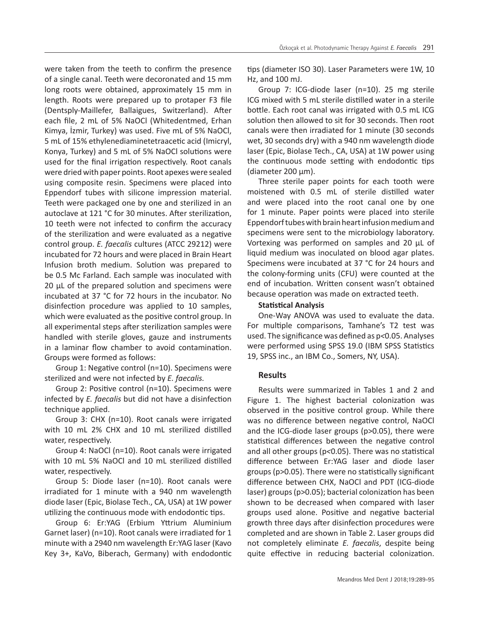were taken from the teeth to confirm the presence of a single canal. Teeth were decoronated and 15 mm long roots were obtained, approximately 15 mm in length. Roots were prepared up to protaper F3 file (Dentsply-Maillefer, Ballaigues, Switzerland). After each file, 2 mL of 5% NaOCl (Whitedentmed, Erhan Kimya, İzmir, Turkey) was used. Five mL of 5% NaOCl, 5 mL of 15% ethylenediaminetetraacetic acid (Imicryl, Konya, Turkey) and 5 mL of 5% NaOCl solutions were used for the final irrigation respectively. Root canals were dried with paper points. Root apexes were sealed using composite resin. Specimens were placed into Eppendorf tubes with silicone impression material. Teeth were packaged one by one and sterilized in an autoclave at 121 °C for 30 minutes. After sterilization, 10 teeth were not infected to confirm the accuracy of the sterilization and were evaluated as a negative control group. *E. faecalis* cultures (ATCC 29212) were incubated for 72 hours and were placed in Brain Heart Infusion broth medium. Solution was prepared to be 0.5 Mc Farland. Each sample was inoculated with 20 μL of the prepared solution and specimens were incubated at 37 °C for 72 hours in the incubator. No disinfection procedure was applied to 10 samples, which were evaluated as the positive control group. In all experimental steps after sterilization samples were handled with sterile gloves, gauze and instruments in a laminar flow chamber to avoid contamination. Groups were formed as follows:

Group 1: Negative control (n=10). Specimens were sterilized and were not infected by *E. faecalis.*

Group 2: Positive control (n=10). Specimens were infected by *E. faecalis* but did not have a disinfection technique applied.

Group 3: CHX (n=10). Root canals were irrigated with 10 mL 2% CHX and 10 mL sterilized distilled water, respectively.

Group 4: NaOCl (n=10). Root canals were irrigated with 10 mL 5% NaOCl and 10 mL sterilized distilled water, respectively.

Group 5: Diode laser (n=10). Root canals were irradiated for 1 minute with a 940 nm wavelength diode laser (Epic, Biolase Tech., CA, USA) at 1W power utilizing the continuous mode with endodontic tips.

Group 6: Er:YAG (Erbium Yttrium Aluminium Garnet laser) (n=10). Root canals were irradiated for 1 minute with a 2940 nm wavelength Er:YAG laser (Kavo Key 3+, KaVo, Biberach, Germany) with endodontic tips (diameter ISO 30). Laser Parameters were 1W, 10 Hz, and 100 mJ.

Group 7: ICG-diode laser (n=10). 25 mg sterile ICG mixed with 5 mL sterile distilled water in a sterile bottle. Each root canal was irrigated with 0.5 mL ICG solution then allowed to sit for 30 seconds. Then root canals were then irradiated for 1 minute (30 seconds wet, 30 seconds dry) with a 940 nm wavelength diode laser (Epic, Biolase Tech., CA, USA) at 1W power using the continuous mode setting with endodontic tips (diameter 200 µm).

Three sterile paper points for each tooth were moistened with 0.5 mL of sterile distilled water and were placed into the root canal one by one for 1 minute. Paper points were placed into sterile Eppendorf tubes with brain heart infusion medium and specimens were sent to the microbiology laboratory. Vortexing was performed on samples and 20 µL of liquid medium was inoculated on blood agar plates. Specimens were incubated at 37 °C for 24 hours and the colony-forming units (CFU) were counted at the end of incubation. Written consent wasn't obtained because operation was made on extracted teeth.

#### **Statistical Analysis**

One-Way ANOVA was used to evaluate the data. For multiple comparisons, Tamhane's T2 test was used. The significance was defined as p*<*0.05. Analyses were performed using SPSS 19.0 (IBM SPSS Statistics 19, SPSS inc., an IBM Co., Somers, NY, USA).

#### **Results**

Results were summarized in Tables 1 and 2 and Figure 1. The highest bacterial colonization was observed in the positive control group. While there was no difference between negative control, NaOCl and the ICG-diode laser groups (p>0.05), there were statistical differences between the negative control and all other groups (p*<*0.05). There was no statistical difference between Er:YAG laser and diode laser groups (p>0.05). There were no statistically significant difference between CHX, NaOCl and PDT (ICG-diode laser) groups (p>0.05); bacterial colonization has been shown to be decreased when compared with laser groups used alone. Positive and negative bacterial growth three days after disinfection procedures were completed and are shown in Table 2. Laser groups did not completely eliminate *E. faecalis*, despite being quite effective in reducing bacterial colonization.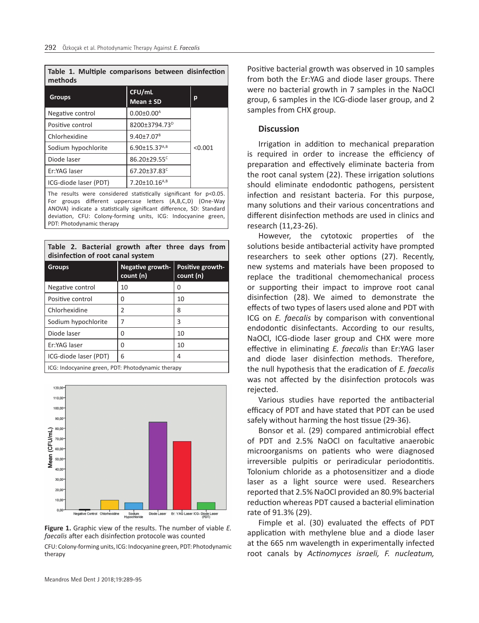**Table 1. Multiple comparisons between disinfection methods**

| <b>Groups</b>         | CFU/mL<br>Mean ± SD             | р       |
|-----------------------|---------------------------------|---------|
| Negative control      | $0.00 \pm 0.00^{\text{A}}$      |         |
| Positive control      | 8200±3794.73 <sup>D</sup>       |         |
| Chlorhexidine         | $9.40{\pm}7.07^{\text{B}}$      |         |
| Sodium hypochlorite   | $6.90 \pm 15.37^{A,B}$          | < 0.001 |
| Diode laser           | $86.20 \pm 29.55$ <sup>c</sup>  |         |
| Er:YAG laser          | 67.20±37.83 <sup>c</sup>        |         |
| ICG-diode laser (PDT) | $7.20 \pm 10.16$ <sup>A,B</sup> |         |

The results were considered statistically significant for p<0.05. For groups different uppercase letters (A,B,C,D) (One-Way ANOVA) indicate a statistically significant difference, SD: Standard deviation, CFU: Colony-forming units, ICG: Indocyanine green, PDT: Photodynamic therapy

**Table 2. Bacterial growth after three days from disinfection of root canal system**

| <b>Groups</b>                                     | <b>Negative growth-</b><br>count (n) | Positive growth-<br>count (n) |  |
|---------------------------------------------------|--------------------------------------|-------------------------------|--|
| Negative control                                  | 10                                   | 0                             |  |
| Positive control                                  | U                                    | 10                            |  |
| Chlorhexidine                                     | 2                                    | 8                             |  |
| Sodium hypochlorite                               | 7                                    | 3                             |  |
| Diode laser                                       | U                                    | 10                            |  |
| Er:YAG laser                                      | U                                    | 10                            |  |
| ICG-diode laser (PDT)                             | 6                                    | 4                             |  |
| ICG: Indocyanine green, PDT: Photodynamic therapy |                                      |                               |  |



**Figure 1.** Graphic view of the results. The number of viable *E. faecalis* after each disinfection protocole was counted CFU: Colony-forming units, ICG: Indocyanine green, PDT: Photodynamic therapy

Positive bacterial growth was observed in 10 samples from both the Er:YAG and diode laser groups. There were no bacterial growth in 7 samples in the NaOCl group, 6 samples in the ICG-diode laser group, and 2 samples from CHX group.

#### **Discussion**

Irrigation in addition to mechanical preparation is required in order to increase the efficiency of preparation and effectively eliminate bacteria from the root canal system (22). These irrigation solutions should eliminate endodontic pathogens, persistent infection and resistant bacteria. For this purpose, many solutions and their various concentrations and different disinfection methods are used in clinics and research (11,23-26).

However, the cytotoxic properties of the solutions beside antibacterial activity have prompted researchers to seek other options (27). Recently, new systems and materials have been proposed to replace the traditional chemomechanical process or supporting their impact to improve root canal disinfection (28). We aimed to demonstrate the effects of two types of lasers used alone and PDT with ICG on *E. faecalis* by comparison with conventional endodontic disinfectants. According to our results, NaOCl, ICG-diode laser group and CHX were more effective in eliminating *E. faecalis* than Er:YAG laser and diode laser disinfection methods. Therefore, the null hypothesis that the eradication of *E. faecalis*  was not affected by the disinfection protocols was rejected.

Various studies have reported the antibacterial efficacy of PDT and have stated that PDT can be used safely without harming the host tissue (29-36).

Bonsor et al. (29) compared antimicrobial effect of PDT and 2.5% NaOCl on facultative anaerobic microorganisms on patients who were diagnosed irreversible pulpitis or periradicular periodontitis. Tolonium chloride as a photosensitizer and a diode laser as a light source were used. Researchers reported that 2.5% NaOCl provided an 80.9% bacterial reduction whereas PDT caused a bacterial elimination rate of 91.3% (29).

Fimple et al. (30) evaluated the effects of PDT application with methylene blue and a diode laser at the 665 nm wavelength in experimentally infected root canals by *Actinomyces israeli, F. nucleatum,*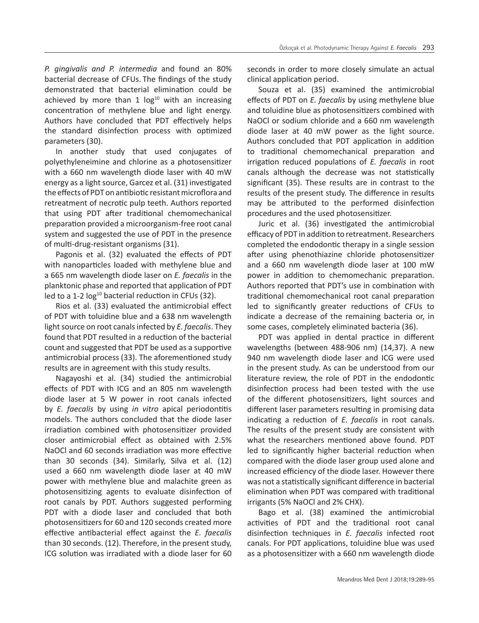*P. gingivalis and P. intermedia* and found an 80% bacterial decrease of CFUs. The findings of the study demonstrated that bacterial elimination could be achieved by more than 1  $log<sup>10</sup>$  with an increasing concentration of methylene blue and light energy. Authors have concluded that PDT effectively helps the standard disinfection process with optimized parameters (30).

In another study that used conjugates of polyethyleneimine and chlorine as a photosensitizer with a 660 nm wavelength diode laser with 40 mW energy as a light source, Garcez et al. (31) investigated the effects of PDT on antibiotic resistant microflora and retreatment of necrotic pulp teeth. Authors reported that using PDT after traditional chemomechanical preparation provided a microorganism-free root canal system and suggested the use of PDT in the presence of multi-drug-resistant organisms (31).

Pagonis et al. (32) evaluated the effects of PDT with nanoparticles loaded with methylene blue and a 665 nm wavelength diode laser on *E. faecalis* in the planktonic phase and reported that application of PDT led to a 1-2 log<sup>10</sup> bacterial reduction in CFUs (32).

Rios et al. (33) evaluated the antimicrobial effect of PDT with toluidine blue and a 638 nm wavelength light source on root canals infected by *E. faecalis*. They found that PDT resulted in a reduction of the bacterial count and suggested that PDT be used as a supportive antimicrobial process (33). The aforementioned study results are in agreement with this study results.

Nagayoshi et al. (34) studied the antimicrobial effects of PDT with ICG and an 805 nm wavelength diode laser at 5 W power in root canals infected by *E. faecalis* by using *in vitro* apical periodontitis models. The authors concluded that the diode laser irradiation combined with photosensitizer provided closer antimicrobial effect as obtained with 2.5% NaOCl and 60 seconds irradiation was more effective than 30 seconds (34). Similarly, Silva et al. (12) used a 660 nm wavelength diode laser at 40 mW power with methylene blue and malachite green as photosensitizing agents to evaluate disinfection of root canals by PDT. Authors suggested performing PDT with a diode laser and concluded that both photosensitizers for 60 and 120 seconds created more effective antibacterial effect against the *E. faecalis* than 30 seconds. (12). Therefore, in the present study, ICG solution was irradiated with a diode laser for 60

seconds in order to more closely simulate an actual clinical application period.

Souza et al. (35) examined the antimicrobial effects of PDT on *E. faecalis* by using methylene blue and toluidine blue as photosensitizers combined with NaOCl or sodium chloride and a 660 nm wavelength diode laser at 40 mW power as the light source. Authors concluded that PDT application in addition to traditional chemomechanical preparation and irrigation reduced populations of *E. faecalis* in root canals although the decrease was not statistically significant (35). These results are in contrast to the results of the present study. The difference in results may be attributed to the performed disinfection procedures and the used photosensitizer.

Juric et al. (36) investigated the antimicrobial efficacy of PDT in addition to retreatment. Researchers completed the endodontic therapy in a single session after using phenothiazine chloride photosensitizer and a 660 nm wavelength diode laser at 100 mW power in addition to chemomechanic preparation. Authors reported that PDT's use in combination with traditional chemomechanical root canal preparation led to significantly greater reductions of CFUs to indicate a decrease of the remaining bacteria or, in some cases, completely eliminated bacteria (36).

PDT was applied in dental practice in different wavelengths (between 488-906 nm) (14,37). A new 940 nm wavelength diode laser and ICG were used in the present study. As can be understood from our literature review, the role of PDT in the endodontic disinfection process had been tested with the use of the different photosensitizers, light sources and different laser parameters resulting in promising data indicating a reduction of *E. faecalis* in root canals. The results of the present study are consistent with what the researchers mentioned above found. PDT led to significantly higher bacterial reduction when compared with the diode laser group used alone and increased efficiency of the diode laser. However there was not a statistically significant difference in bacterial elimination when PDT was compared with traditional irrigants (5% NaOCl and 2% CHX).

Bago et al. (38) examined the antimicrobial activities of PDT and the traditional root canal disinfection techniques in *E. faecalis* infected root canals. For PDT applications, toluidine blue was used as a photosensitizer with a 660 nm wavelength diode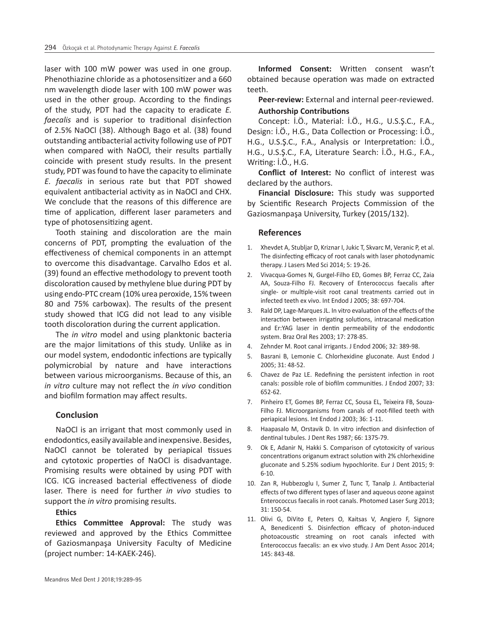laser with 100 mW power was used in one group. Phenothiazine chloride as a photosensitizer and a 660 nm wavelength diode laser with 100 mW power was used in the other group. According to the findings of the study, PDT had the capacity to eradicate *E. faecalis* and is superior to traditional disinfection of 2.5% NaOCl (38). Although Bago et al. (38) found outstanding antibacterial activity following use of PDT when compared with NaOCl, their results partially coincide with present study results. In the present study, PDT was found to have the capacity to eliminate *E. faecalis* in serious rate but that PDT showed equivalent antibacterial activity as in NaOCl and CHX. We conclude that the reasons of this difference are time of application, different laser parameters and type of photosensitizing agent.

Tooth staining and discoloration are the main concerns of PDT, prompting the evaluation of the effectiveness of chemical components in an attempt to overcome this disadvantage. Carvalho Edos et al. (39) found an effective methodology to prevent tooth discoloration caused by methylene blue during PDT by using endo-PTC cream (10% urea peroxide, 15% tween 80 and 75% carbowax). The results of the present study showed that ICG did not lead to any visible tooth discoloration during the current application.

The *in vitro* model and using planktonic bacteria are the major limitations of this study. Unlike as in our model system, endodontic infections are typically polymicrobial by nature and have interactions between various microorganisms. Because of this, an *in vitro* culture may not reflect the *in vivo* condition and biofilm formation may affect results.

#### **Conclusion**

NaOCl is an irrigant that most commonly used in endodontics, easily available and inexpensive. Besides, NaOCl cannot be tolerated by periapical tissues and cytotoxic properties of NaOCl is disadvantage. Promising results were obtained by using PDT with ICG. ICG increased bacterial effectiveness of diode laser. There is need for further *in vivo* studies to support the *in vitro* promising results.

#### **Ethics**

**Ethics Committee Approval:** The study was reviewed and approved by the Ethics Committee of Gaziosmanpaşa University Faculty of Medicine (project number: 14-KAEK-246).

**Informed Consent:** Written consent wasn't obtained because operation was made on extracted teeth.

**Peer-review:** External and internal peer-reviewed.

#### **Authorship Contributions**

Concept: İ.Ö., Material: İ.Ö., H.G., U.S.Ş.C., F.A., Design: İ.Ö., H.G., Data Collection or Processing: İ.Ö., H.G., U.S.Ş.C., F.A., Analysis or Interpretation: İ.Ö., H.G., U.S.Ş.C., F.A, Literature Search: İ.Ö., H.G., F.A., Writing: İ.Ö., H.G.

**Conflict of Interest:** No conflict of interest was declared by the authors.

**Financial Disclosure:** This study was supported by Scientific Research Projects Commission of the Gaziosmanpaşa University, Turkey (2015/132).

#### **References**

- 1. Xhevdet A, Stubljar D, Kriznar I, Jukic T, Skvarc M, Veranic P, et al. The disinfecting efficacy of root canals with laser photodynamic therapy. J Lasers Med Sci 2014; 5: 19-26.
- 2. Vivacqua-Gomes N, Gurgel-Filho ED, Gomes BP, Ferraz CC, Zaia AA, Souza-Filho FJ. Recovery of Enterococcus faecalis after single- or multiple-visit root canal treatments carried out in infected teeth ex vivo. Int Endod J 2005; 38: 697-704.
- 3. Rald DP, Lage-Marques JL. In vitro evaluation of the effects of the interaction between irrigating solutions, intracanal medication and Er:YAG laser in dentin permeability of the endodontic system. Braz Oral Res 2003; 17: 278-85.
- 4. Zehnder M. Root canal irrigants. J Endod 2006; 32: 389-98.
- 5. Basrani B, Lemonie C. Chlorhexidine gluconate. Aust Endod J 2005; 31: 48-52.
- 6. Chavez de Paz LE. Redefining the persistent infection in root canals: possible role of biofilm communities. J Endod 2007; 33: 652-62.
- 7. Pinheiro ET, Gomes BP, Ferraz CC, Sousa EL, Teixeira FB, Souza-Filho FJ. Microorganisms from canals of root-filled teeth with periapical lesions. Int Endod J 2003; 36: 1-11.
- 8. Haapasalo M, Orstavik D. In vitro infection and disinfection of dentinal tubules. J Dent Res 1987; 66: 1375-79.
- 9. Ok E, Adanir N, Hakki S. Comparison of cytotoxicity of various concentrations origanum extract solution with 2% chlorhexidine gluconate and 5.25% sodium hypochlorite. Eur J Dent 2015; 9: 6-10.
- 10. Zan R, Hubbezoglu I, Sumer Z, Tunc T, Tanalp J. Antibacterial effects of two different types of laser and aqueous ozone against Enterococcus faecalis in root canals. Photomed Laser Surg 2013; 31: 150-54.
- 11. Olivi G, DiVito E, Peters O, Kaitsas V, Angiero F, Signore A, Benedicenti S. Disinfection efficacy of photon-induced photoacoustic streaming on root canals infected with Enterococcus faecalis: an ex vivo study. J Am Dent Assoc 2014; 145: 843-48.